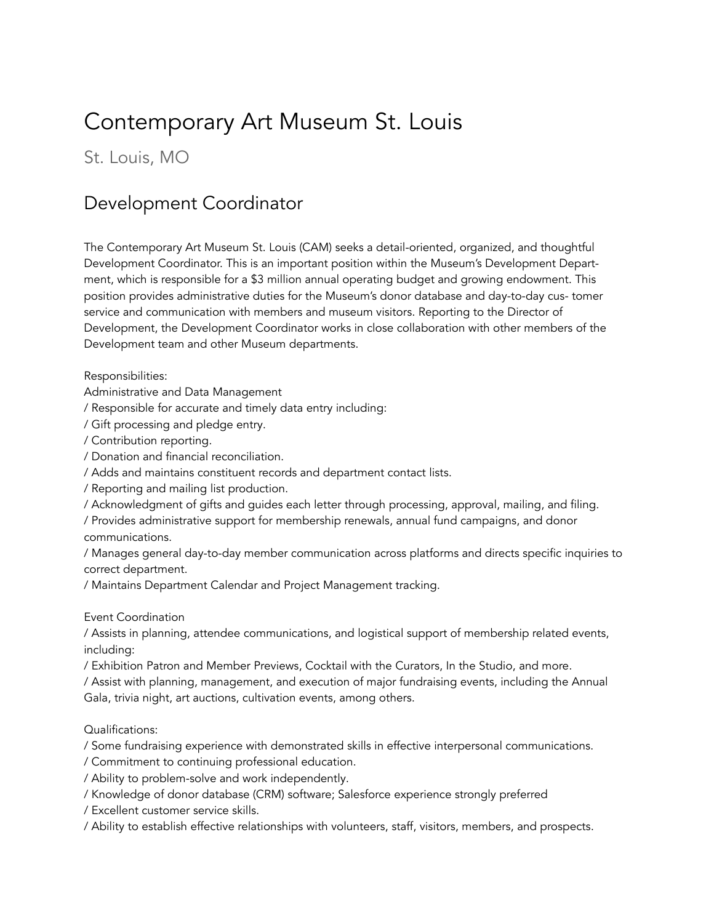# Contemporary Art Museum St. Louis

St. Louis, MO

## Development Coordinator

The Contemporary Art Museum St. Louis (CAM) seeks a detail-oriented, organized, and thoughtful Development Coordinator. This is an important position within the Museum's Development Department, which is responsible for a \$3 million annual operating budget and growing endowment. This position provides administrative duties for the Museum's donor database and day-to-day cus- tomer service and communication with members and museum visitors. Reporting to the Director of Development, the Development Coordinator works in close collaboration with other members of the Development team and other Museum departments.

Responsibilities:

Administrative and Data Management

/ Responsible for accurate and timely data entry including:

/ Gift processing and pledge entry.

/ Contribution reporting.

/ Donation and financial reconciliation.

/ Adds and maintains constituent records and department contact lists.

/ Reporting and mailing list production.

/ Acknowledgment of gifts and guides each letter through processing, approval, mailing, and filing.

/ Provides administrative support for membership renewals, annual fund campaigns, and donor communications.

/ Manages general day-to-day member communication across platforms and directs specific inquiries to correct department.

/ Maintains Department Calendar and Project Management tracking.

Event Coordination

/ Assists in planning, attendee communications, and logistical support of membership related events, including:

/ Exhibition Patron and Member Previews, Cocktail with the Curators, In the Studio, and more.

/ Assist with planning, management, and execution of major fundraising events, including the Annual Gala, trivia night, art auctions, cultivation events, among others.

Qualifications:

/ Some fundraising experience with demonstrated skills in effective interpersonal communications.

/ Commitment to continuing professional education.

/ Ability to problem-solve and work independently.

/ Knowledge of donor database (CRM) software; Salesforce experience strongly preferred

/ Excellent customer service skills.

/ Ability to establish effective relationships with volunteers, staff, visitors, members, and prospects.